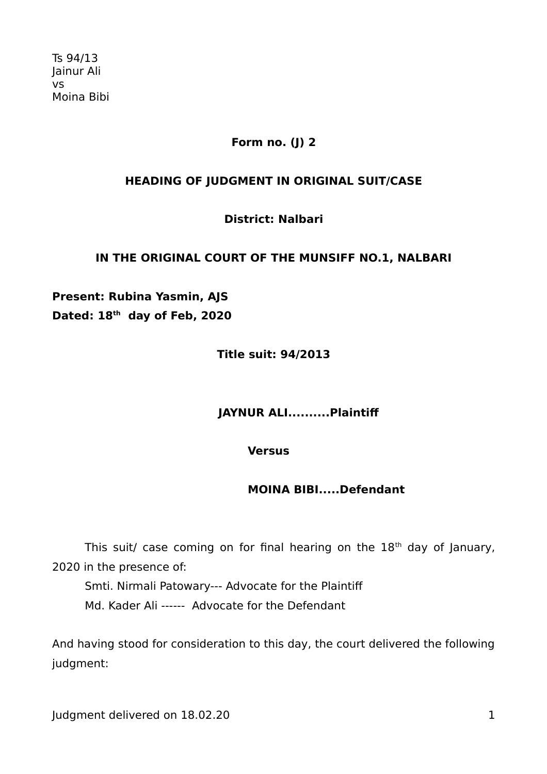# **Form no. (J) 2**

# **HEADING OF JUDGMENT IN ORIGINAL SUIT/CASE**

**District: Nalbari**

# **IN THE ORIGINAL COURT OF THE MUNSIFF NO.1, NALBARI**

**Present: Rubina Yasmin, AJS Dated: 18th day of Feb, 2020** 

**Title suit: 94/2013**

 **JAYNUR ALI..........Plaintif**

**Versus**

 **MOINA BIBI.....Defendant**

This suit/ case coming on for final hearing on the  $18<sup>th</sup>$  day of January, 2020 in the presence of:

Smti. Nirmali Patowary--- Advocate for the Plaintif Md. Kader Ali ------ Advocate for the Defendant

And having stood for consideration to this day, the court delivered the following judgment:

Judgment delivered on 18.02.20 1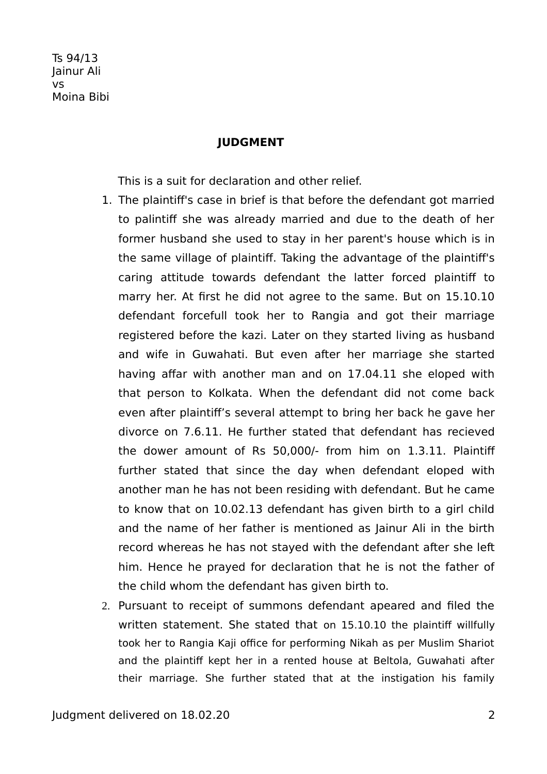#### **JUDGMENT**

This is a suit for declaration and other relief.

- 1. The plaintif's case in brief is that before the defendant got married to palintif she was already married and due to the death of her former husband she used to stay in her parent's house which is in the same village of plaintif. Taking the advantage of the plaintif's caring attitude towards defendant the latter forced plaintif to marry her. At first he did not agree to the same. But on 15.10.10 defendant forcefull took her to Rangia and got their marriage registered before the kazi. Later on they started living as husband and wife in Guwahati. But even after her marriage she started having affar with another man and on 17.04.11 she eloped with that person to Kolkata. When the defendant did not come back even after plaintif's several attempt to bring her back he gave her divorce on 7.6.11. He further stated that defendant has recieved the dower amount of Rs 50,000/- from him on 1.3.11. Plaintif further stated that since the day when defendant eloped with another man he has not been residing with defendant. But he came to know that on 10.02.13 defendant has given birth to a girl child and the name of her father is mentioned as Jainur Ali in the birth record whereas he has not stayed with the defendant after she left him. Hence he prayed for declaration that he is not the father of the child whom the defendant has given birth to.
- 2. Pursuant to receipt of summons defendant apeared and filed the written statement. She stated that on 15.10.10 the plaintiff willfully took her to Rangia Kaji office for performing Nikah as per Muslim Shariot and the plaintif kept her in a rented house at Beltola, Guwahati after their marriage. She further stated that at the instigation his family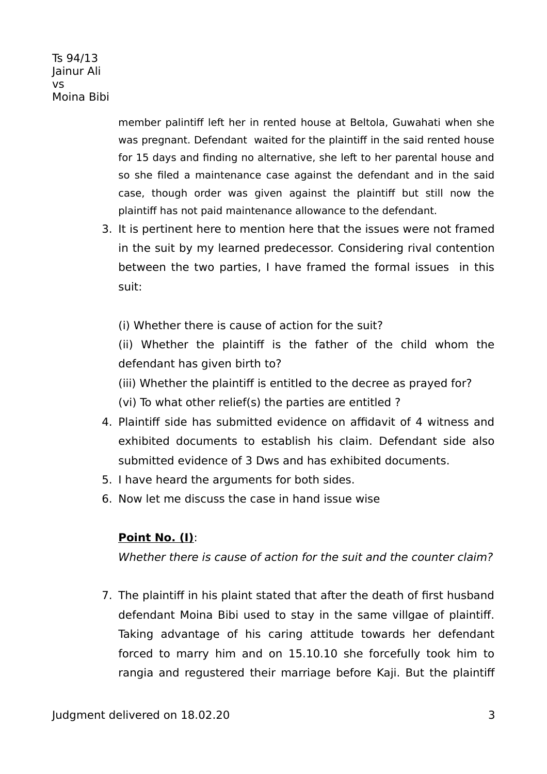> member palintif left her in rented house at Beltola, Guwahati when she was pregnant. Defendant waited for the plaintiff in the said rented house for 15 days and finding no alternative, she left to her parental house and so she filed a maintenance case against the defendant and in the said case, though order was given against the plaintif but still now the plaintif has not paid maintenance allowance to the defendant.

3. It is pertinent here to mention here that the issues were not framed in the suit by my learned predecessor. Considering rival contention between the two parties, I have framed the formal issues in this suit:

(i) Whether there is cause of action for the suit?

(ii) Whether the plaintif is the father of the child whom the defendant has given birth to?

(iii) Whether the plaintiff is entitled to the decree as prayed for?

(vi) To what other relief(s) the parties are entitled ?

- 4. Plaintif side has submitted evidence on affidavit of 4 witness and exhibited documents to establish his claim. Defendant side also submitted evidence of 3 Dws and has exhibited documents.
- 5. I have heard the arguments for both sides.
- 6. Now let me discuss the case in hand issue wise

# **Point No. (I)**:

Whether there is cause of action for the suit and the counter claim?

7. The plaintif in his plaint stated that after the death of first husband defendant Moina Bibi used to stay in the same villgae of plaintif. Taking advantage of his caring attitude towards her defendant forced to marry him and on 15.10.10 she forcefully took him to rangia and regustered their marriage before Kaji. But the plaintif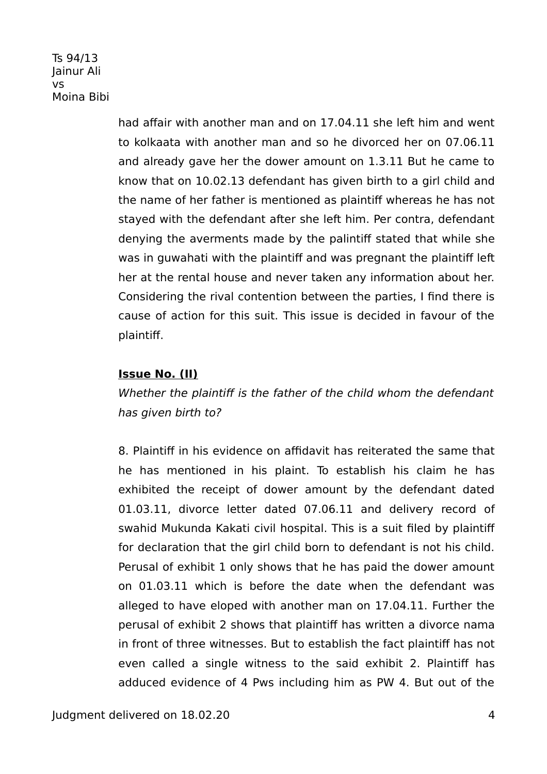> had affair with another man and on 17.04.11 she left him and went to kolkaata with another man and so he divorced her on 07.06.11 and already gave her the dower amount on 1.3.11 But he came to know that on 10.02.13 defendant has given birth to a girl child and the name of her father is mentioned as plaintif whereas he has not stayed with the defendant after she left him. Per contra, defendant denying the averments made by the palintiff stated that while she was in guwahati with the plaintiff and was pregnant the plaintiff left her at the rental house and never taken any information about her. Considering the rival contention between the parties, I find there is cause of action for this suit. This issue is decided in favour of the plaintif.

# **Issue No. (II)**

Whether the plaintiff is the father of the child whom the defendant has given birth to?

8. Plaintif in his evidence on affidavit has reiterated the same that he has mentioned in his plaint. To establish his claim he has exhibited the receipt of dower amount by the defendant dated 01.03.11, divorce letter dated 07.06.11 and delivery record of swahid Mukunda Kakati civil hospital. This is a suit filed by plaintif for declaration that the girl child born to defendant is not his child. Perusal of exhibit 1 only shows that he has paid the dower amount on 01.03.11 which is before the date when the defendant was alleged to have eloped with another man on 17.04.11. Further the perusal of exhibit 2 shows that plaintif has written a divorce nama in front of three witnesses. But to establish the fact plaintif has not even called a single witness to the said exhibit 2. Plaintif has adduced evidence of 4 Pws including him as PW 4. But out of the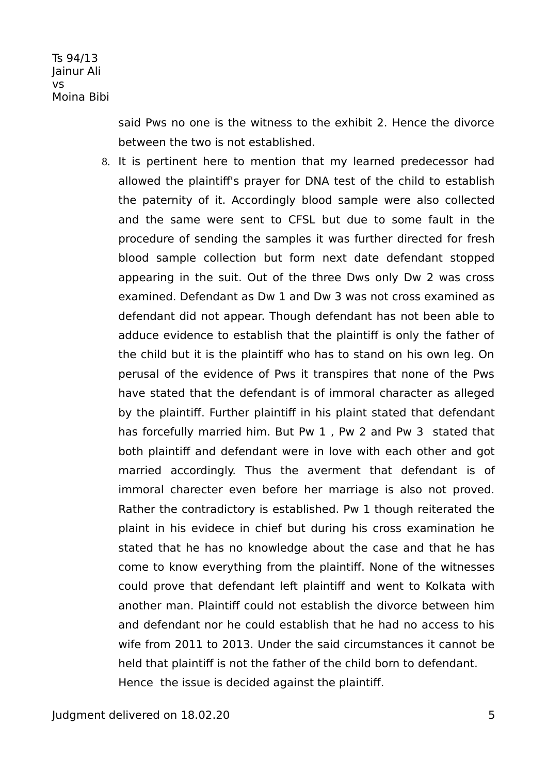> said Pws no one is the witness to the exhibit 2. Hence the divorce between the two is not established.

8. It is pertinent here to mention that my learned predecessor had allowed the plaintif's prayer for DNA test of the child to establish the paternity of it. Accordingly blood sample were also collected and the same were sent to CFSL but due to some fault in the procedure of sending the samples it was further directed for fresh blood sample collection but form next date defendant stopped appearing in the suit. Out of the three Dws only Dw 2 was cross examined. Defendant as Dw 1 and Dw 3 was not cross examined as defendant did not appear. Though defendant has not been able to adduce evidence to establish that the plaintif is only the father of the child but it is the plaintif who has to stand on his own leg. On perusal of the evidence of Pws it transpires that none of the Pws have stated that the defendant is of immoral character as alleged by the plaintiff. Further plaintiff in his plaint stated that defendant has forcefully married him. But Pw 1 , Pw 2 and Pw 3 stated that both plaintif and defendant were in love with each other and got married accordingly. Thus the averment that defendant is of immoral charecter even before her marriage is also not proved. Rather the contradictory is established. Pw 1 though reiterated the plaint in his evidece in chief but during his cross examination he stated that he has no knowledge about the case and that he has come to know everything from the plaintif. None of the witnesses could prove that defendant left plaintif and went to Kolkata with another man. Plaintif could not establish the divorce between him and defendant nor he could establish that he had no access to his wife from 2011 to 2013. Under the said circumstances it cannot be held that plaintiff is not the father of the child born to defendant. Hence the issue is decided against the plaintif.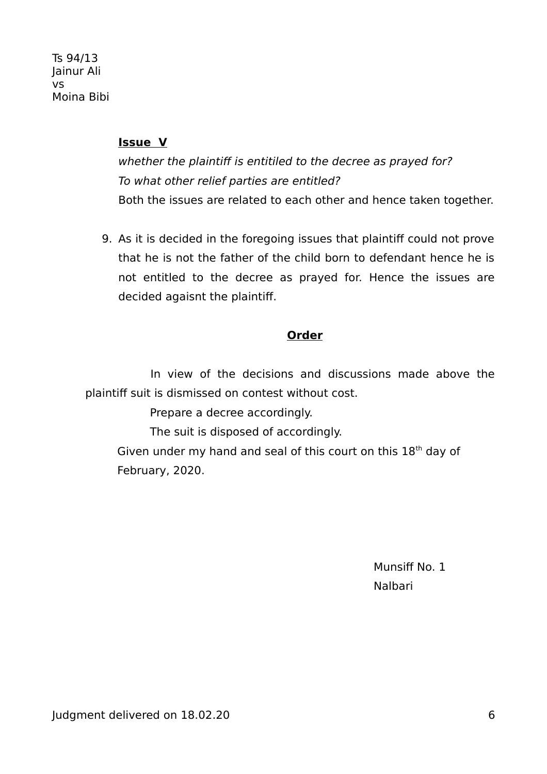#### **Issue V**

whether the plaintiff is entitiled to the decree as prayed for? To what other relief parties are entitled? Both the issues are related to each other and hence taken together.

9. As it is decided in the foregoing issues that plaintif could not prove that he is not the father of the child born to defendant hence he is not entitled to the decree as prayed for. Hence the issues are decided agaisnt the plaintif.

#### **Order**

In view of the decisions and discussions made above the plaintif suit is dismissed on contest without cost.

Prepare a decree accordingly.

The suit is disposed of accordingly.

Given under my hand and seal of this court on this  $18<sup>th</sup>$  day of February, 2020.

Munsiff No. 1 Nalbari